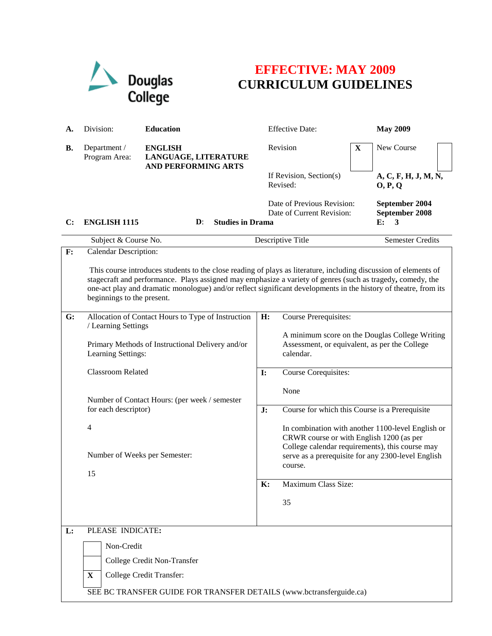

## **EFFECTIVE: MAY 2009 CURRICULUM GUIDELINES**

| А. | Division:                                                                                                                                                                                                                                                                                                                                                                        | <b>Education</b>                                                                                |    | <b>Effective Date:</b>                                                                                                                           |   | <b>May 2009</b>                                    |  |  |
|----|----------------------------------------------------------------------------------------------------------------------------------------------------------------------------------------------------------------------------------------------------------------------------------------------------------------------------------------------------------------------------------|-------------------------------------------------------------------------------------------------|----|--------------------------------------------------------------------------------------------------------------------------------------------------|---|----------------------------------------------------|--|--|
| В. | Department /<br>Program Area:                                                                                                                                                                                                                                                                                                                                                    | <b>ENGLISH</b><br>LANGUAGE, LITERATURE<br><b>AND PERFORMING ARTS</b>                            |    | Revision                                                                                                                                         | X | New Course                                         |  |  |
|    |                                                                                                                                                                                                                                                                                                                                                                                  |                                                                                                 |    | If Revision, Section(s)<br>Revised:                                                                                                              |   | A, C, F, H, J, M, N,<br>O, P, Q                    |  |  |
| C: | <b>ENGLISH 1115</b>                                                                                                                                                                                                                                                                                                                                                              | <b>Studies in Drama</b><br>$\mathbf{D}$ :                                                       |    | Date of Previous Revision:<br>Date of Current Revision:                                                                                          |   | September 2004<br>September 2008<br>E:<br>3        |  |  |
|    | Subject & Course No.                                                                                                                                                                                                                                                                                                                                                             |                                                                                                 |    | Descriptive Title                                                                                                                                |   | <b>Semester Credits</b>                            |  |  |
| F: | Calendar Description:                                                                                                                                                                                                                                                                                                                                                            |                                                                                                 |    |                                                                                                                                                  |   |                                                    |  |  |
|    | This course introduces students to the close reading of plays as literature, including discussion of elements of<br>stagecraft and performance. Plays assigned may emphasize a variety of genres (such as tragedy, comedy, the<br>one-act play and dramatic monologue) and/or reflect significant developments in the history of theatre, from its<br>beginnings to the present. |                                                                                                 |    |                                                                                                                                                  |   |                                                    |  |  |
| G: |                                                                                                                                                                                                                                                                                                                                                                                  | Allocation of Contact Hours to Type of Instruction                                              | H: | <b>Course Prerequisites:</b>                                                                                                                     |   |                                                    |  |  |
|    | / Learning Settings<br>Primary Methods of Instructional Delivery and/or<br>Learning Settings:                                                                                                                                                                                                                                                                                    |                                                                                                 |    | Assessment, or equivalent, as per the College<br>calendar.                                                                                       |   | A minimum score on the Douglas College Writing     |  |  |
|    |                                                                                                                                                                                                                                                                                                                                                                                  | Classroom Related                                                                               |    | Course Corequisites:                                                                                                                             |   |                                                    |  |  |
|    |                                                                                                                                                                                                                                                                                                                                                                                  | Number of Contact Hours: (per week / semester<br>for each descriptor)                           |    | None                                                                                                                                             |   |                                                    |  |  |
|    |                                                                                                                                                                                                                                                                                                                                                                                  |                                                                                                 |    | Course for which this Course is a Prerequisite                                                                                                   |   |                                                    |  |  |
|    | $\overline{4}$                                                                                                                                                                                                                                                                                                                                                                   |                                                                                                 |    | In combination with another 1100-level English or<br>CRWR course or with English 1200 (as per<br>College calendar requirements), this course may |   |                                                    |  |  |
|    | Number of Weeks per Semester:                                                                                                                                                                                                                                                                                                                                                    |                                                                                                 |    | course.                                                                                                                                          |   | serve as a prerequisite for any 2300-level English |  |  |
|    | 15                                                                                                                                                                                                                                                                                                                                                                               |                                                                                                 |    | Maximum Class Size:<br>$\mathbf{K}$ :                                                                                                            |   |                                                    |  |  |
|    |                                                                                                                                                                                                                                                                                                                                                                                  |                                                                                                 |    |                                                                                                                                                  |   |                                                    |  |  |
|    |                                                                                                                                                                                                                                                                                                                                                                                  |                                                                                                 |    | 35                                                                                                                                               |   |                                                    |  |  |
| L: | PLEASE INDICATE:                                                                                                                                                                                                                                                                                                                                                                 |                                                                                                 |    |                                                                                                                                                  |   |                                                    |  |  |
|    | Non-Credit                                                                                                                                                                                                                                                                                                                                                                       |                                                                                                 |    |                                                                                                                                                  |   |                                                    |  |  |
|    |                                                                                                                                                                                                                                                                                                                                                                                  | College Credit Non-Transfer                                                                     |    |                                                                                                                                                  |   |                                                    |  |  |
|    | X                                                                                                                                                                                                                                                                                                                                                                                | College Credit Transfer:<br>SEE BC TRANSFER GUIDE FOR TRANSFER DETAILS (www.bctransferguide.ca) |    |                                                                                                                                                  |   |                                                    |  |  |
|    |                                                                                                                                                                                                                                                                                                                                                                                  |                                                                                                 |    |                                                                                                                                                  |   |                                                    |  |  |
|    |                                                                                                                                                                                                                                                                                                                                                                                  |                                                                                                 |    |                                                                                                                                                  |   |                                                    |  |  |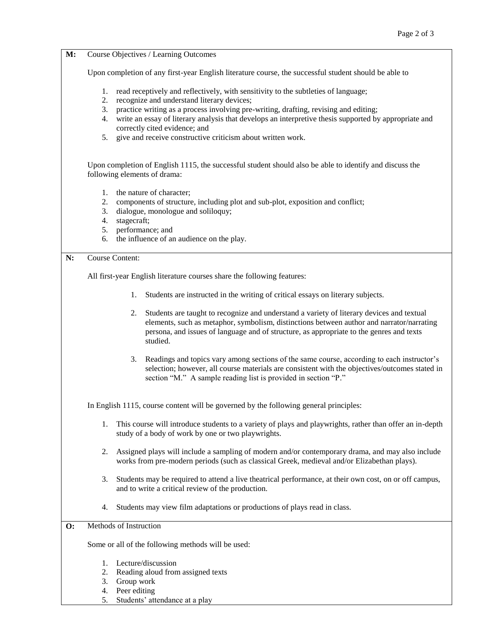| M:             | Course Objectives / Learning Outcomes                                                                       |                                                                                                                                                                                                                                                                                                      |  |  |  |  |  |
|----------------|-------------------------------------------------------------------------------------------------------------|------------------------------------------------------------------------------------------------------------------------------------------------------------------------------------------------------------------------------------------------------------------------------------------------------|--|--|--|--|--|
|                |                                                                                                             |                                                                                                                                                                                                                                                                                                      |  |  |  |  |  |
|                | Upon completion of any first-year English literature course, the successful student should be able to       |                                                                                                                                                                                                                                                                                                      |  |  |  |  |  |
|                | 1.<br>2.                                                                                                    | read receptively and reflectively, with sensitivity to the subtleties of language;<br>recognize and understand literary devices;                                                                                                                                                                     |  |  |  |  |  |
|                | 3.                                                                                                          | practice writing as a process involving pre-writing, drafting, revising and editing;                                                                                                                                                                                                                 |  |  |  |  |  |
|                | write an essay of literary analysis that develops an interpretive thesis supported by appropriate and<br>4. |                                                                                                                                                                                                                                                                                                      |  |  |  |  |  |
|                | 5.                                                                                                          | correctly cited evidence; and<br>give and receive constructive criticism about written work.                                                                                                                                                                                                         |  |  |  |  |  |
|                |                                                                                                             |                                                                                                                                                                                                                                                                                                      |  |  |  |  |  |
|                |                                                                                                             | Upon completion of English 1115, the successful student should also be able to identify and discuss the<br>following elements of drama:                                                                                                                                                              |  |  |  |  |  |
|                | 1.<br>the nature of character;                                                                              |                                                                                                                                                                                                                                                                                                      |  |  |  |  |  |
|                | 2.<br>components of structure, including plot and sub-plot, exposition and conflict;                        |                                                                                                                                                                                                                                                                                                      |  |  |  |  |  |
|                | 3.<br>dialogue, monologue and soliloquy;<br>stagecraft;<br>4.                                               |                                                                                                                                                                                                                                                                                                      |  |  |  |  |  |
|                | 5.                                                                                                          | performance; and                                                                                                                                                                                                                                                                                     |  |  |  |  |  |
|                | 6.                                                                                                          | the influence of an audience on the play.                                                                                                                                                                                                                                                            |  |  |  |  |  |
| N:             | <b>Course Content:</b>                                                                                      |                                                                                                                                                                                                                                                                                                      |  |  |  |  |  |
|                | All first-year English literature courses share the following features:                                     |                                                                                                                                                                                                                                                                                                      |  |  |  |  |  |
|                | Students are instructed in the writing of critical essays on literary subjects.<br>1.                       |                                                                                                                                                                                                                                                                                                      |  |  |  |  |  |
|                |                                                                                                             | Students are taught to recognize and understand a variety of literary devices and textual<br>2.<br>elements, such as metaphor, symbolism, distinctions between author and narrator/narrating<br>persona, and issues of language and of structure, as appropriate to the genres and texts<br>studied. |  |  |  |  |  |
|                |                                                                                                             | Readings and topics vary among sections of the same course, according to each instructor's<br>3.<br>selection; however, all course materials are consistent with the objectives/outcomes stated in<br>section "M." A sample reading list is provided in section "P."                                 |  |  |  |  |  |
|                | In English 1115, course content will be governed by the following general principles:                       |                                                                                                                                                                                                                                                                                                      |  |  |  |  |  |
|                | 1.                                                                                                          | This course will introduce students to a variety of plays and playwrights, rather than offer an in-depth<br>study of a body of work by one or two playwrights.                                                                                                                                       |  |  |  |  |  |
|                | 2.                                                                                                          | Assigned plays will include a sampling of modern and/or contemporary drama, and may also include<br>works from pre-modern periods (such as classical Greek, medieval and/or Elizabethan plays).                                                                                                      |  |  |  |  |  |
|                | 3.                                                                                                          | Students may be required to attend a live theatrical performance, at their own cost, on or off campus,<br>and to write a critical review of the production.                                                                                                                                          |  |  |  |  |  |
|                | 4.                                                                                                          | Students may view film adaptations or productions of plays read in class.                                                                                                                                                                                                                            |  |  |  |  |  |
| $\mathbf{O}$ : |                                                                                                             | Methods of Instruction                                                                                                                                                                                                                                                                               |  |  |  |  |  |
|                |                                                                                                             | Some or all of the following methods will be used:                                                                                                                                                                                                                                                   |  |  |  |  |  |
|                | 1.                                                                                                          | Lecture/discussion                                                                                                                                                                                                                                                                                   |  |  |  |  |  |
|                | 2.                                                                                                          | Reading aloud from assigned texts                                                                                                                                                                                                                                                                    |  |  |  |  |  |
|                | 3.                                                                                                          | Group work                                                                                                                                                                                                                                                                                           |  |  |  |  |  |

- 4. Peer editing
- 5. Students' attendance at a play